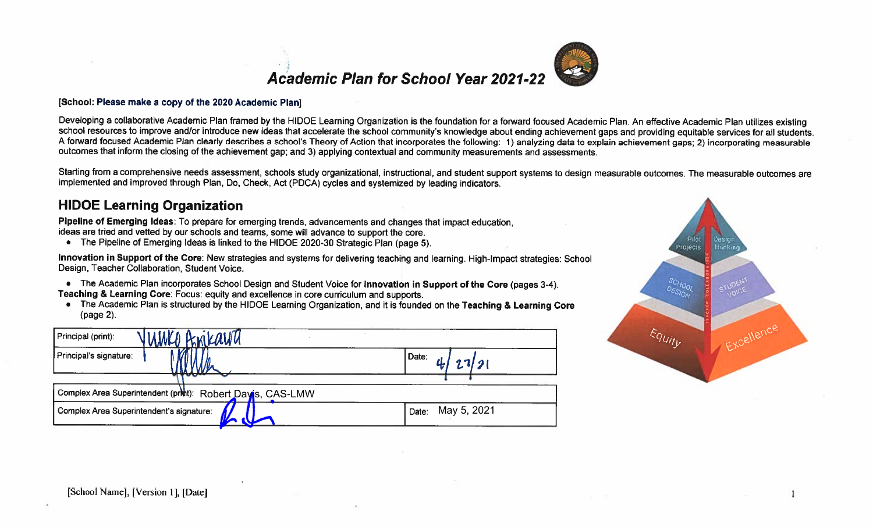



Developing a collaborative Academic Plan framed by the HIDOE Learning Organization is the foundation for a forward focused Academic Plan. An effective Academic Plan utilizes existing school resources to improve and/or introduce new ideas that accelerate the school community's knowledge about ending achievement gaps and providing equitable services for all students. A forward focused Academic Plan clearly describes a school's Theory of Action that incorporates the following: 1) analyzing data to explain achievement gaps; 2) incorporating measurable outcomes that inform the closing of the achievement gap; and 3) applying contextual and community measurements and assessments.

Starting from a comprehensive needs assessment, schools study organizational, instructional, and student support systems to design measurable outcomes. The measurable outcomes are implemented and improved through Plan, Do, Check, Act (PDCA) cycles and systemized by leading indicators.

#### **HIDOE Learning Organization**

Pipeline of Emerging Ideas: To prepare for emerging trends, advancements and changes that impact education. ideas are tried and vetted by our schools and teams, some will advance to support the core.

• The Pipeline of Emerging Ideas is linked to the HIDOE 2020-30 Strategic Plan (page 5).

Innovation in Support of the Core: New strategies and systems for delivering teaching and learning. High-Impact strategies: School Design, Teacher Collaboration, Student Voice.

- The Academic Plan incorporates School Design and Student Voice for Innovation in Support of the Core (pages 3-4). Teaching & Learning Core: Focus: equity and excellence in core curriculum and supports.
- The Academic Plan is structured by the HIDOE Learning Organization, and it is founded on the Teaching & Learning Core (page 2).

| Anikaun<br>umko<br>Principal (print):                      |                      |
|------------------------------------------------------------|----------------------|
| Principal's signature:                                     | Date:<br>1/21        |
| Complex Area Superintendent (print): Robert Dayis, CAS-LMW |                      |
| Complex Area Superintendent's signature:                   | May 5, 2021<br>Date: |

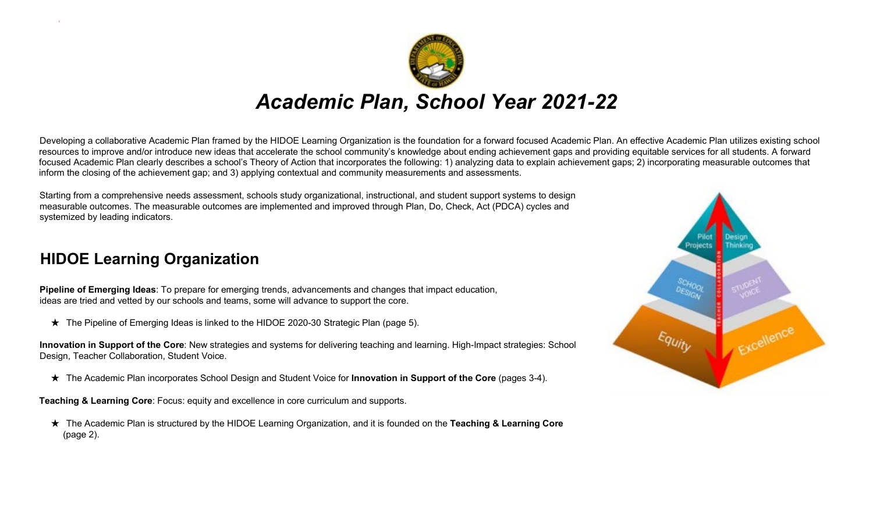

Developing a collaborative Academic Plan framed by the HIDOE Learning Organization is the foundation for a forward focused Academic Plan. An effective Academic Plan utilizes existing school resources to improve and/or introduce new ideas that accelerate the school community's knowledge about ending achievement gaps and providing equitable services for all students. A forward focused Academic Plan clearly describes a school's Theory of Action that incorporates the following: 1) analyzing data to explain achievement gaps; 2) incorporating measurable outcomes that inform the closing of the achievement gap; and 3) applying contextual and community measurements and assessments.

Starting from a comprehensive needs assessment, schools study organizational, instructional, and student support systems to design measurable outcomes. The measurable outcomes are implemented and improved through Plan, Do, Check, Act (PDCA) cycles and systemized by leading indicators.

### **HIDOE Learning Organization**

c

**Pipeline of Emerging Ideas**: To prepare for emerging trends, advancements and changes that impact education, ideas are tried and vetted by our schools and teams, some will advance to support the core.

★ The Pipeline of Emerging Ideas is linked to the HIDOE 2020-30 Strategic Plan (page 5).

**Innovation in Support of the Core**: New strategies and systems for delivering teaching and learning. High-Impact strategies: School Design, Teacher Collaboration, Student Voice.

★ The Academic Plan incorporates School Design and Student Voice for **Innovation in Support of the Core** (pages 3-4).

**Teaching & Learning Core**: Focus: equity and excellence in core curriculum and supports.

★ The Academic Plan is structured by the HIDOE Learning Organization, and it is founded on the **Teaching & Learning Core**  (page 2).

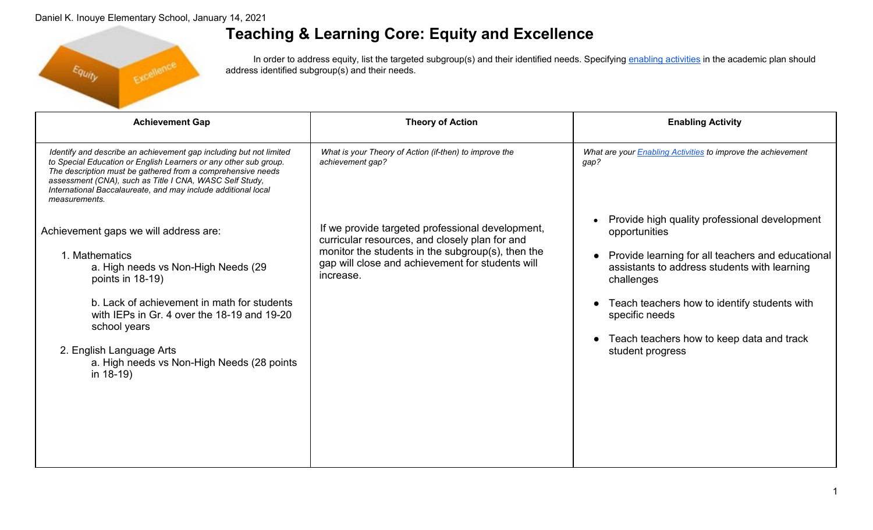

# **Teaching & Learning Core: Equity and Excellence**

In order to address equity, list the targeted subgroup(s) and their identified needs. Specifying enabling activities in the academic plan should address identified subgroup(s) and their needs.

| <b>Achievement Gap</b>                                                                                                                                                                                                                                                                                                                             | <b>Theory of Action</b>                                                                                                                                                                                                  | <b>Enabling Activity</b>                                                                                                                                                                                                                                                                                             |
|----------------------------------------------------------------------------------------------------------------------------------------------------------------------------------------------------------------------------------------------------------------------------------------------------------------------------------------------------|--------------------------------------------------------------------------------------------------------------------------------------------------------------------------------------------------------------------------|----------------------------------------------------------------------------------------------------------------------------------------------------------------------------------------------------------------------------------------------------------------------------------------------------------------------|
| Identify and describe an achievement gap including but not limited<br>to Special Education or English Learners or any other sub group.<br>The description must be gathered from a comprehensive needs<br>assessment (CNA), such as Title I CNA, WASC Self Study,<br>International Baccalaureate, and may include additional local<br>measurements. | What is your Theory of Action (if-then) to improve the<br>achievement gap?                                                                                                                                               | What are your <b>Enabling Activities</b> to improve the achievement<br>gap?                                                                                                                                                                                                                                          |
| Achievement gaps we will address are:<br>1. Mathematics<br>a. High needs vs Non-High Needs (29<br>points in 18-19)<br>b. Lack of achievement in math for students<br>with IEPs in Gr. 4 over the 18-19 and 19-20<br>school years<br>2. English Language Arts<br>a. High needs vs Non-High Needs (28 points<br>in $18-19$ )                         | If we provide targeted professional development,<br>curricular resources, and closely plan for and<br>monitor the students in the subgroup(s), then the<br>gap will close and achievement for students will<br>increase. | Provide high quality professional development<br>opportunities<br>Provide learning for all teachers and educational<br>assistants to address students with learning<br>challenges<br>Teach teachers how to identify students with<br>specific needs<br>Teach teachers how to keep data and track<br>student progress |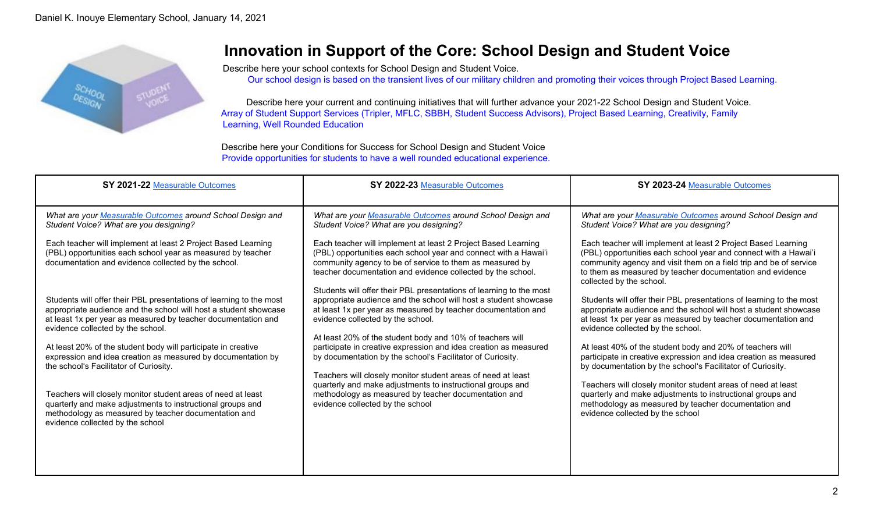

## **Innovation in Support of the Core: School Design and Student Voice**

Describe here your school contexts for School Design and Student Voice.

Our school design is based on the transient lives of our military children and promoting their voices through Project Based Learning.

Describe here your current and continuing initiatives that will further advance your 2021-22 School Design and Student Voice. Array of Student Support Services (Tripler, MFLC, SBBH, Student Success Advisors), Project Based Learning, Creativity, Family Learning, Well Rounded Education

Describe here your Conditions for Success for School Design and Student Voice Provide opportunities for students to have a well rounded educational experience.

| SY 2021-22 Measurable Outcomes                                                                                                                                                                                                                | SY 2022-23 Measurable Outcomes                                                                                                                                                                                                                              | SY 2023-24 Measurable Outcomes                                                                                                                                                                                                                                                                 |
|-----------------------------------------------------------------------------------------------------------------------------------------------------------------------------------------------------------------------------------------------|-------------------------------------------------------------------------------------------------------------------------------------------------------------------------------------------------------------------------------------------------------------|------------------------------------------------------------------------------------------------------------------------------------------------------------------------------------------------------------------------------------------------------------------------------------------------|
| What are your Measurable Outcomes around School Design and<br>Student Voice? What are you designing?                                                                                                                                          | What are your Measurable Outcomes around School Design and<br>Student Voice? What are you designing?                                                                                                                                                        | What are your Measurable Outcomes around School Design and<br>Student Voice? What are you designing?                                                                                                                                                                                           |
| Each teacher will implement at least 2 Project Based Learning<br>(PBL) opportunities each school year as measured by teacher<br>documentation and evidence collected by the school.                                                           | Each teacher will implement at least 2 Project Based Learning<br>(PBL) opportunities each school year and connect with a Hawai'i<br>community agency to be of service to them as measured by<br>teacher documentation and evidence collected by the school. | Each teacher will implement at least 2 Project Based Learning<br>(PBL) opportunities each school year and connect with a Hawai'i<br>community agency and visit them on a field trip and be of service<br>to them as measured by teacher documentation and evidence<br>collected by the school. |
| Students will offer their PBL presentations of learning to the most<br>appropriate audience and the school will host a student showcase<br>at least 1x per year as measured by teacher documentation and<br>evidence collected by the school. | Students will offer their PBL presentations of learning to the most<br>appropriate audience and the school will host a student showcase<br>at least 1x per year as measured by teacher documentation and<br>evidence collected by the school.               | Students will offer their PBL presentations of learning to the most<br>appropriate audience and the school will host a student showcase<br>at least 1x per year as measured by teacher documentation and<br>evidence collected by the school.                                                  |
| At least 20% of the student body will participate in creative<br>expression and idea creation as measured by documentation by<br>the school's Facilitator of Curiosity.                                                                       | At least 20% of the student body and 10% of teachers will<br>participate in creative expression and idea creation as measured<br>by documentation by the school's Facilitator of Curiosity.<br>Teachers will closely monitor student areas of need at least | At least 40% of the student body and 20% of teachers will<br>participate in creative expression and idea creation as measured<br>by documentation by the school's Facilitator of Curiosity.                                                                                                    |
| Teachers will closely monitor student areas of need at least<br>quarterly and make adjustments to instructional groups and<br>methodology as measured by teacher documentation and<br>evidence collected by the school                        | quarterly and make adjustments to instructional groups and<br>methodology as measured by teacher documentation and<br>evidence collected by the school                                                                                                      | Teachers will closely monitor student areas of need at least<br>quarterly and make adjustments to instructional groups and<br>methodology as measured by teacher documentation and<br>evidence collected by the school                                                                         |
|                                                                                                                                                                                                                                               |                                                                                                                                                                                                                                                             |                                                                                                                                                                                                                                                                                                |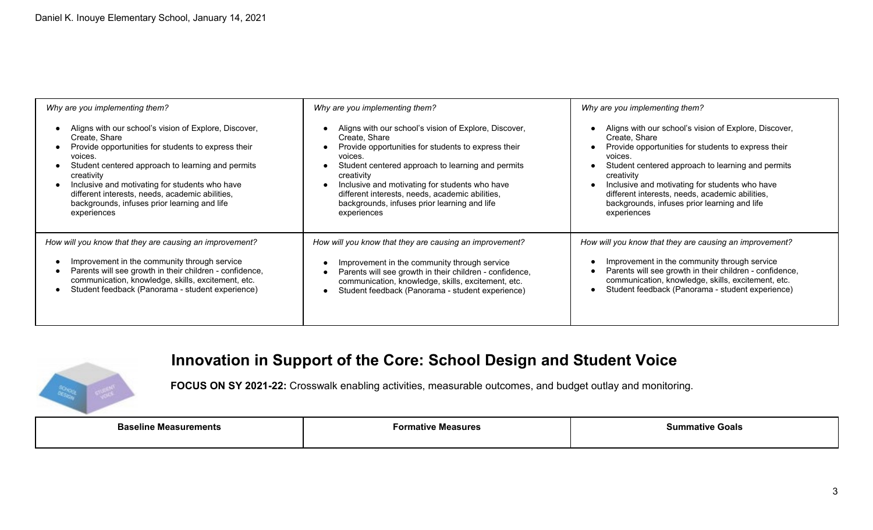| Why are you implementing them?                          | Why are you implementing them?                          | Why are you implementing them?                          |
|---------------------------------------------------------|---------------------------------------------------------|---------------------------------------------------------|
| Aligns with our school's vision of Explore, Discover,   | Aligns with our school's vision of Explore, Discover,   | Aligns with our school's vision of Explore, Discover,   |
| Create, Share                                           | Create, Share                                           | Create, Share                                           |
| Provide opportunities for students to express their     | Provide opportunities for students to express their     | Provide opportunities for students to express their     |
| voices.                                                 | voices.                                                 | voices.                                                 |
| Student centered approach to learning and permits       | Student centered approach to learning and permits       | Student centered approach to learning and permits       |
| creativity                                              | creativity                                              | creativity                                              |
| Inclusive and motivating for students who have          | Inclusive and motivating for students who have          | Inclusive and motivating for students who have          |
| different interests, needs, academic abilities,         | different interests, needs, academic abilities,         | different interests, needs, academic abilities,         |
| backgrounds, infuses prior learning and life            | backgrounds, infuses prior learning and life            | backgrounds, infuses prior learning and life            |
| experiences                                             | experiences                                             | experiences                                             |
| How will you know that they are causing an improvement? | How will you know that they are causing an improvement? | How will you know that they are causing an improvement? |
| Improvement in the community through service            | Improvement in the community through service            | Improvement in the community through service            |
| Parents will see growth in their children - confidence, | Parents will see growth in their children - confidence, | Parents will see growth in their children - confidence, |
| communication, knowledge, skills, excitement, etc.      | communication, knowledge, skills, excitement, etc.      | communication, knowledge, skills, excitement, etc.      |
| Student feedback (Panorama - student experience)        | Student feedback (Panorama - student experience)        | Student feedback (Panorama - student experience)        |

# **Innovation in Support of the Core: School Design and Student Voice**



**FOCUS ON SY 2021-22:** Crosswalk enabling activities, measurable outcomes, and budget outlay and monitoring.

| <b>Baseline Measurements</b> | Formative Measures | ∘Goals<br>הוו<br>sum<br>. |
|------------------------------|--------------------|---------------------------|
|                              |                    |                           |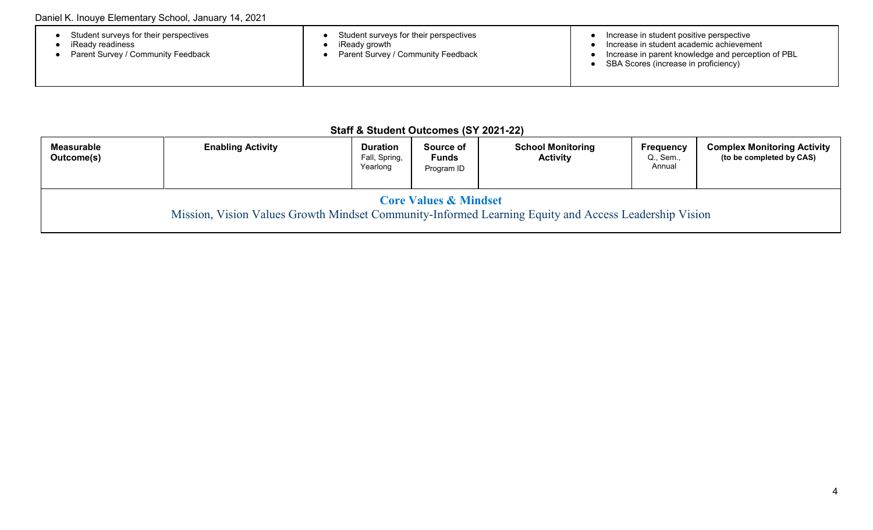| Student surveys for their perspectives<br>iReadv readiness<br>Parent Survey / Community Feedback | Student surveys for their perspectives<br>iReady growth<br>Parent Survey / Community Feedback | Increase in student positive perspective<br>Increase in student academic achievement<br>Increase in parent knowledge and perception of PBL<br>SBA Scores (increase in proficiency) |
|--------------------------------------------------------------------------------------------------|-----------------------------------------------------------------------------------------------|------------------------------------------------------------------------------------------------------------------------------------------------------------------------------------|
|--------------------------------------------------------------------------------------------------|-----------------------------------------------------------------------------------------------|------------------------------------------------------------------------------------------------------------------------------------------------------------------------------------|

#### **Staff & Student Outcomes (SY 2021-22)**

| <b>Measurable</b><br>Outcome(s)                                                                                                           | <b>Enabling Activity</b> | <b>Duration</b><br>Fall, Spring,<br>Yearlong | Source of<br><b>Funds</b><br>Program ID | <b>School Monitoring</b><br><b>Activity</b> | <b>Frequency</b><br>Q., Sem.,<br>Annual | <b>Complex Monitoring Activity</b><br>(to be completed by CAS) |
|-------------------------------------------------------------------------------------------------------------------------------------------|--------------------------|----------------------------------------------|-----------------------------------------|---------------------------------------------|-----------------------------------------|----------------------------------------------------------------|
| <b>Core Values &amp; Mindset</b><br>Mission, Vision Values Growth Mindset Community-Informed Learning Equity and Access Leadership Vision |                          |                                              |                                         |                                             |                                         |                                                                |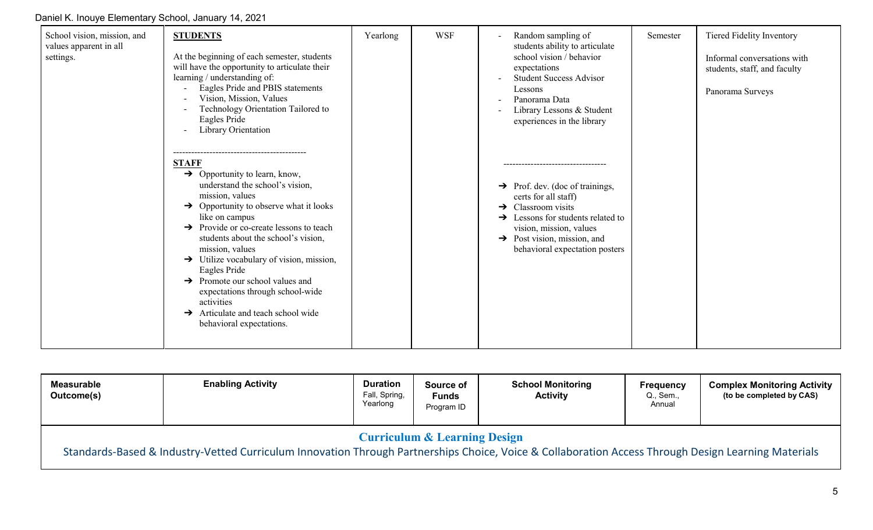Daniel K. Inouye Elementary School, January 14, 2021

| School vision, mission, and<br>values apparent in all<br>settings. | <b>STUDENTS</b><br>At the beginning of each semester, students<br>will have the opportunity to articulate their<br>learning / understanding of:<br>Eagles Pride and PBIS statements<br>Vision, Mission, Values<br>Technology Orientation Tailored to<br>Eagles Pride<br>Library Orientation                                                                                                                                                                                                                                                                     | Yearlong | <b>WSF</b> | Random sampling of<br>students ability to articulate<br>school vision / behavior<br>expectations<br><b>Student Success Advisor</b><br>Lessons<br>Panorama Data<br>Library Lessons & Student<br>experiences in the library                                                                          | Semester | Tiered Fidelity Inventory<br>Informal conversations with<br>students, staff, and faculty<br>Panorama Surveys |
|--------------------------------------------------------------------|-----------------------------------------------------------------------------------------------------------------------------------------------------------------------------------------------------------------------------------------------------------------------------------------------------------------------------------------------------------------------------------------------------------------------------------------------------------------------------------------------------------------------------------------------------------------|----------|------------|----------------------------------------------------------------------------------------------------------------------------------------------------------------------------------------------------------------------------------------------------------------------------------------------------|----------|--------------------------------------------------------------------------------------------------------------|
|                                                                    | <b>STAFF</b><br>$\rightarrow$ Opportunity to learn, know,<br>understand the school's vision,<br>mission, values<br>$\rightarrow$ Opportunity to observe what it looks<br>like on campus<br>$\rightarrow$ Provide or co-create lessons to teach<br>students about the school's vision,<br>mission, values<br>$\rightarrow$ Utilize vocabulary of vision, mission,<br>Eagles Pride<br>$\rightarrow$ Promote our school values and<br>expectations through school-wide<br>activities<br>$\rightarrow$ Articulate and teach school wide<br>behavioral expectations. |          |            | -----------------------------<br>$\rightarrow$ Prof. dev. (doc of trainings,<br>certs for all staff)<br>Classroom visits<br>$\rightarrow$<br>$\rightarrow$ Lessons for students related to<br>vision, mission, values<br>$\rightarrow$ Post vision, mission, and<br>behavioral expectation posters |          |                                                                                                              |

| <b>Measurable</b><br>Outcome(s)                                                                                                                                                                | <b>Enabling Activity</b> | <b>Duration</b><br>Fall, Spring,<br>Yearlong | Source of<br><b>Funds</b><br>Program ID | <b>School Monitoring</b><br><b>Activity</b> | <b>Frequency</b><br>Q., Sem.,<br>Annual | <b>Complex Monitoring Activity</b><br>(to be completed by CAS) |  |
|------------------------------------------------------------------------------------------------------------------------------------------------------------------------------------------------|--------------------------|----------------------------------------------|-----------------------------------------|---------------------------------------------|-----------------------------------------|----------------------------------------------------------------|--|
| <b>Curriculum &amp; Learning Design</b><br>Standards-Based & Industry-Vetted Curriculum Innovation Through Partnerships Choice, Voice & Collaboration Access Through Design Learning Materials |                          |                                              |                                         |                                             |                                         |                                                                |  |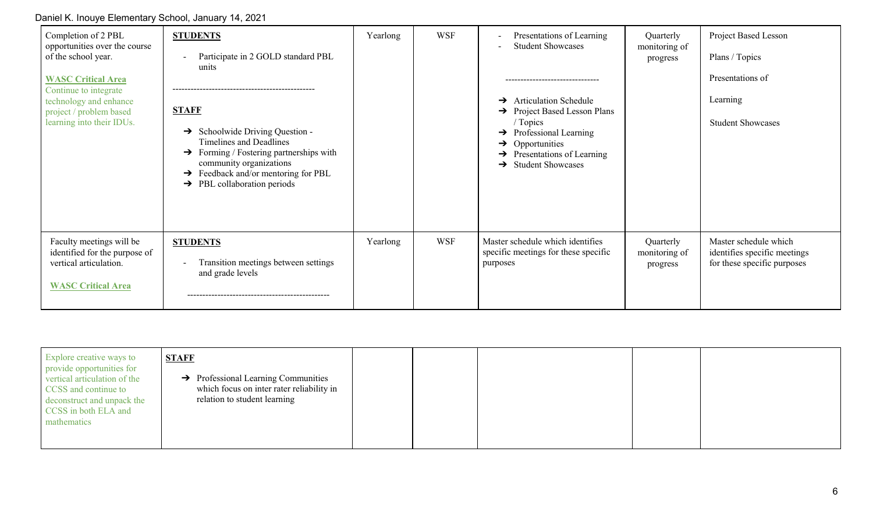Daniel K. Inouye Elementary School, January 14, 2021

| Completion of 2 PBL<br>opportunities over the course<br>of the school year.<br><b>WASC Critical Area</b><br>Continue to integrate<br>technology and enhance<br>project / problem based<br>learning into their IDUs. | <b>STUDENTS</b><br>Participate in 2 GOLD standard PBL<br>units<br><b>STAFF</b><br>Schoolwide Driving Question -<br>→<br>Timelines and Deadlines<br>Forming / Fostering partnerships with<br>→<br>community organizations<br>Feedback and/or mentoring for PBL<br>→<br>PBL collaboration periods<br>$\rightarrow$ | Yearlong | <b>WSF</b> | Presentations of Learning<br><b>Student Showcases</b><br>------------------------------<br><b>Articulation Schedule</b><br>$\rightarrow$<br>$\rightarrow$ Project Based Lesson Plans<br>/ Topics<br>$\rightarrow$ Professional Learning<br>$\rightarrow$ Opportunities<br>Presentations of Learning<br>$\rightarrow$<br>$\rightarrow$ Student Showcases | Quarterly<br>monitoring of<br>progress | Project Based Lesson<br>Plans / Topics<br>Presentations of<br>Learning<br><b>Student Showcases</b> |
|---------------------------------------------------------------------------------------------------------------------------------------------------------------------------------------------------------------------|------------------------------------------------------------------------------------------------------------------------------------------------------------------------------------------------------------------------------------------------------------------------------------------------------------------|----------|------------|---------------------------------------------------------------------------------------------------------------------------------------------------------------------------------------------------------------------------------------------------------------------------------------------------------------------------------------------------------|----------------------------------------|----------------------------------------------------------------------------------------------------|
| Faculty meetings will be<br>identified for the purpose of<br>vertical articulation.<br><b>WASC Critical Area</b>                                                                                                    | <b>STUDENTS</b><br>Transition meetings between settings<br>and grade levels                                                                                                                                                                                                                                      | Yearlong | <b>WSF</b> | Master schedule which identifies<br>specific meetings for these specific<br>purposes                                                                                                                                                                                                                                                                    | Quarterly<br>monitoring of<br>progress | Master schedule which<br>identifies specific meetings<br>for these specific purposes               |

| CCSS in both ELA and<br>mathematics |
|-------------------------------------|
|-------------------------------------|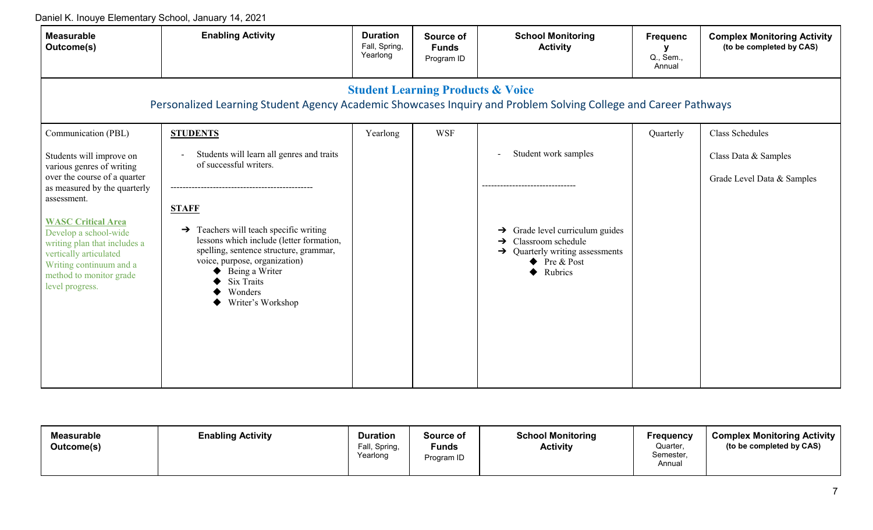Daniel K. Inouye Elementary School, January 14, 2021

| <b>Measurable</b><br>Outcome(s)                                                                                                                                                                                                                                                                                               | <b>Enabling Activity</b>                                                                                                                                                                                                                                                                                                       | <b>Duration</b><br>Fall, Spring,<br>Yearlong | Source of<br><b>Funds</b><br>Program ID | <b>School Monitoring</b><br><b>Activity</b>                                                                                                                                                                 | <b>Frequenc</b><br>Q., Sem.,<br>Annual | <b>Complex Monitoring Activity</b><br>(to be completed by CAS) |  |  |  |
|-------------------------------------------------------------------------------------------------------------------------------------------------------------------------------------------------------------------------------------------------------------------------------------------------------------------------------|--------------------------------------------------------------------------------------------------------------------------------------------------------------------------------------------------------------------------------------------------------------------------------------------------------------------------------|----------------------------------------------|-----------------------------------------|-------------------------------------------------------------------------------------------------------------------------------------------------------------------------------------------------------------|----------------------------------------|----------------------------------------------------------------|--|--|--|
| <b>Student Learning Products &amp; Voice</b><br>Personalized Learning Student Agency Academic Showcases Inquiry and Problem Solving College and Career Pathways                                                                                                                                                               |                                                                                                                                                                                                                                                                                                                                |                                              |                                         |                                                                                                                                                                                                             |                                        |                                                                |  |  |  |
| Communication (PBL)                                                                                                                                                                                                                                                                                                           | <b>STUDENTS</b>                                                                                                                                                                                                                                                                                                                | Yearlong                                     | <b>WSF</b>                              |                                                                                                                                                                                                             | Quarterly                              | Class Schedules                                                |  |  |  |
| Students will improve on<br>various genres of writing<br>over the course of a quarter<br>as measured by the quarterly<br>assessment.<br><b>WASC Critical Area</b><br>Develop a school-wide<br>writing plan that includes a<br>vertically articulated<br>Writing continuum and a<br>method to monitor grade<br>level progress. | Students will learn all genres and traits<br>of successful writers.<br><b>STAFF</b><br>Teachers will teach specific writing<br>→<br>lessons which include (letter formation,<br>spelling, sentence structure, grammar,<br>voice, purpose, organization)<br>Being a Writer<br><b>Six Traits</b><br>Wonders<br>Writer's Workshop |                                              |                                         | Student work samples<br>$\overline{\phantom{a}}$<br>$\rightarrow$ Grade level curriculum guides<br>$\rightarrow$ Classroom schedule<br>$\rightarrow$ Quarterly writing assessments<br>Pre & Post<br>Rubrics |                                        | Class Data & Samples<br>Grade Level Data & Samples             |  |  |  |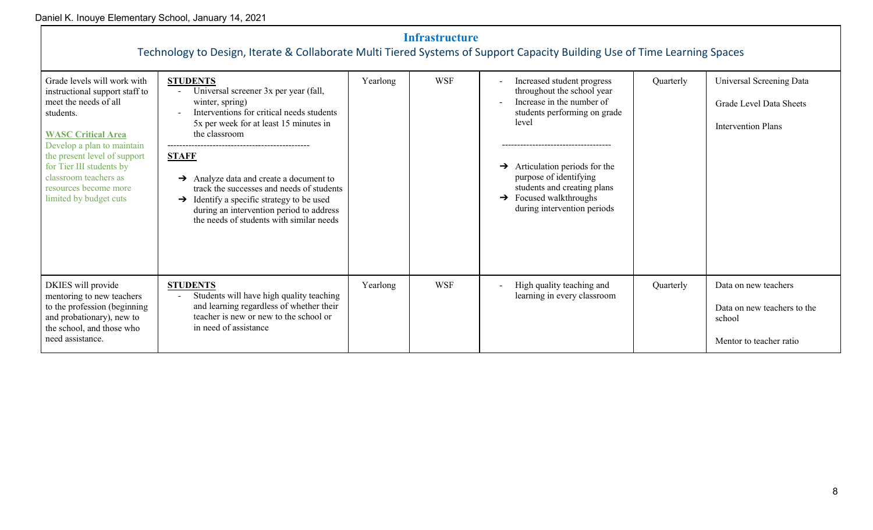| <b>Infrastructure</b><br>Technology to Design, Iterate & Collaborate Multi Tiered Systems of Support Capacity Building Use of Time Learning Spaces                                                                                                                                                     |                                                                                                                                                                                                                                                                                                                                                                                                                                                          |          |     |                                                                                                                                                                                                                                                                                                               |           |                                                                                          |  |  |
|--------------------------------------------------------------------------------------------------------------------------------------------------------------------------------------------------------------------------------------------------------------------------------------------------------|----------------------------------------------------------------------------------------------------------------------------------------------------------------------------------------------------------------------------------------------------------------------------------------------------------------------------------------------------------------------------------------------------------------------------------------------------------|----------|-----|---------------------------------------------------------------------------------------------------------------------------------------------------------------------------------------------------------------------------------------------------------------------------------------------------------------|-----------|------------------------------------------------------------------------------------------|--|--|
| Grade levels will work with<br>instructional support staff to<br>meet the needs of all<br>students.<br><b>WASC Critical Area</b><br>Develop a plan to maintain<br>the present level of support<br>for Tier III students by<br>classroom teachers as<br>resources become more<br>limited by budget cuts | <b>STUDENTS</b><br>Universal screener 3x per year (fall,<br>winter, spring)<br>Interventions for critical needs students<br>5x per week for at least 15 minutes in<br>the classroom<br><b>STAFF</b><br>$\rightarrow$ Analyze data and create a document to<br>track the successes and needs of students<br>$\rightarrow$ Identify a specific strategy to be used<br>during an intervention period to address<br>the needs of students with similar needs | Yearlong | WSF | Increased student progress<br>throughout the school year<br>Increase in the number of<br>students performing on grade<br>level<br>Articulation periods for the<br>$\rightarrow$<br>purpose of identifying<br>students and creating plans<br>$\rightarrow$ Focused walkthroughs<br>during intervention periods | Quarterly | Universal Screening Data<br>Grade Level Data Sheets<br><b>Intervention Plans</b>         |  |  |
| DKIES will provide<br>mentoring to new teachers<br>to the profession (beginning<br>and probationary), new to<br>the school, and those who<br>need assistance.                                                                                                                                          | <b>STUDENTS</b><br>Students will have high quality teaching<br>and learning regardless of whether their<br>teacher is new or new to the school or<br>in need of assistance                                                                                                                                                                                                                                                                               | Yearlong | WSF | High quality teaching and<br>learning in every classroom                                                                                                                                                                                                                                                      | Quarterly | Data on new teachers<br>Data on new teachers to the<br>school<br>Mentor to teacher ratio |  |  |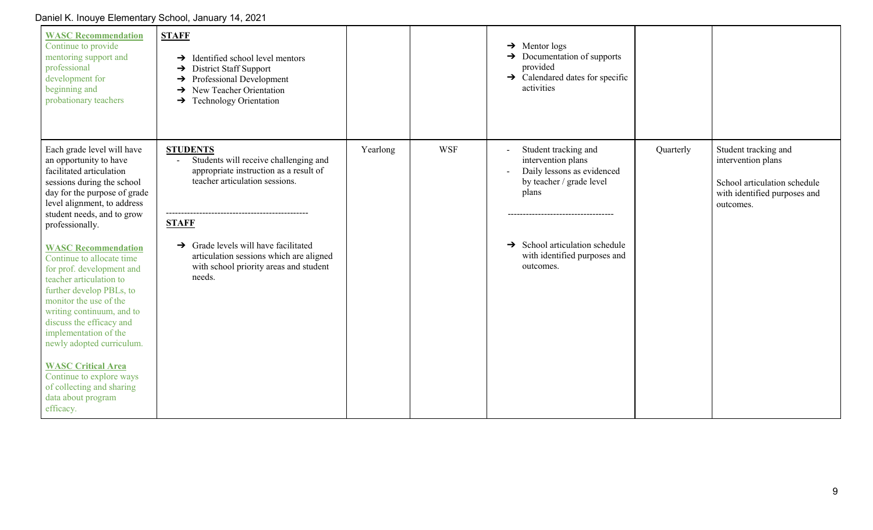| <b>WASC Recommendation</b><br>Continue to provide<br>mentoring support and<br>professional<br>development for<br>beginning and<br>probationary teachers                                                                                                                                                                                                                                                       | <b>STAFF</b><br>$\rightarrow$ Identified school level mentors<br>$\rightarrow$ District Staff Support<br>$\rightarrow$ Professional Development<br>$\rightarrow$ New Teacher Orientation<br>$\rightarrow$ Technology Orientation |          |            | $\rightarrow$ Mentor logs<br>$\rightarrow$ Documentation of supports<br>provided<br>$\rightarrow$ Calendared dates for specific<br>activities         |           |                                                                                                                         |
|---------------------------------------------------------------------------------------------------------------------------------------------------------------------------------------------------------------------------------------------------------------------------------------------------------------------------------------------------------------------------------------------------------------|----------------------------------------------------------------------------------------------------------------------------------------------------------------------------------------------------------------------------------|----------|------------|-------------------------------------------------------------------------------------------------------------------------------------------------------|-----------|-------------------------------------------------------------------------------------------------------------------------|
| Each grade level will have<br>an opportunity to have<br>facilitated articulation<br>sessions during the school<br>day for the purpose of grade<br>level alignment, to address<br>student needs, and to grow<br>professionally.                                                                                                                                                                                | <b>STUDENTS</b><br>Students will receive challenging and<br>appropriate instruction as a result of<br>teacher articulation sessions.<br><b>STAFF</b>                                                                             | Yearlong | <b>WSF</b> | Student tracking and<br>intervention plans<br>Daily lessons as evidenced<br>by teacher / grade level<br>plans<br>------------------------------------ | Quarterly | Student tracking and<br>intervention plans<br>School articulation schedule<br>with identified purposes and<br>outcomes. |
| <b>WASC Recommendation</b><br>Continue to allocate time<br>for prof. development and<br>teacher articulation to<br>further develop PBLs, to<br>monitor the use of the<br>writing continuum, and to<br>discuss the efficacy and<br>implementation of the<br>newly adopted curriculum.<br><b>WASC Critical Area</b><br>Continue to explore ways<br>of collecting and sharing<br>data about program<br>efficacy. | $\rightarrow$ Grade levels will have facilitated<br>articulation sessions which are aligned<br>with school priority areas and student<br>needs.                                                                                  |          |            | $\rightarrow$ School articulation schedule<br>with identified purposes and<br>outcomes.                                                               |           |                                                                                                                         |